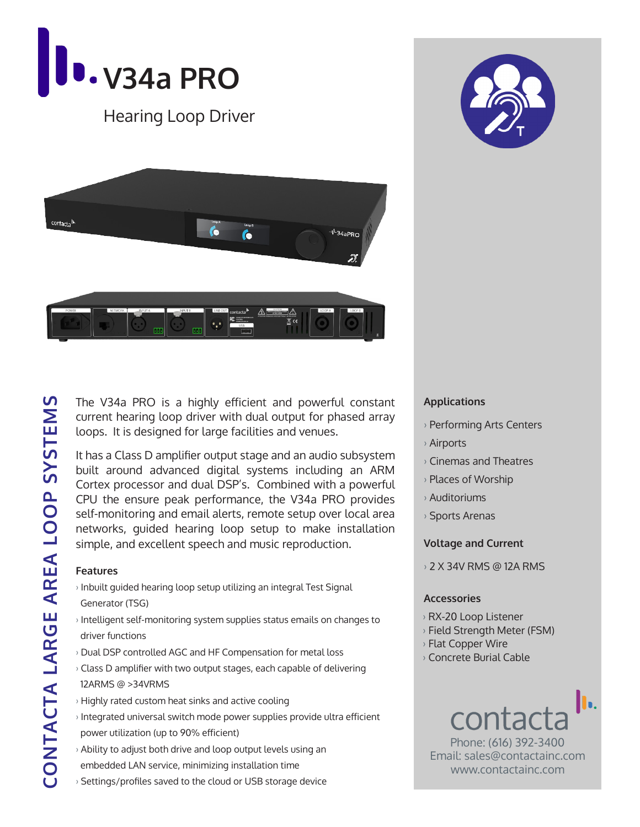

Hearing Loop Driver





The V34a PRO is a highly efficient and powerful constant current hearing loop driver with dual output for phased array loops. It is designed for large facilities and venues.

It has a Class D amplifier output stage and an audio subsystem built around advanced digital systems including an ARM Cortex processor and dual DSP's. Combined with a powerful CPU the ensure peak performance, the V34a PRO provides self-monitoring and email alerts, remote setup over local area networks, guided hearing loop setup to make installation simple, and excellent speech and music reproduction.

#### **Features**

- › Inbuilt guided hearing loop setup utilizing an integral Test Signal Generator (TSG)
- › Intelligent self-monitoring system supplies status emails on changes to driver functions
- › Dual DSP controlled AGC and HF Compensation for metal loss
- › Class D amplifier with two output stages, each capable of delivering 12ARMS @ >34VRMS
- › Highly rated custom heat sinks and active cooling
- › Integrated universal switch mode power supplies provide ultra efficient power utilization (up to 90% efficient)
- › Ability to adjust both drive and loop output levels using an embedded LAN service, minimizing installation time
- › Settings/profiles saved to the cloud or USB storage device

### **Applications**

- › Performing Arts Centers
- › Airports
- › Cinemas and Theatres
- › Places of Worship
- › Auditoriums
- › Sports Arenas

#### **Voltage and Current**

› 2 X 34V RMS @ 12A RMS

#### **Accessories**

- › RX-20 Loop Listener
- › Field Strength Meter (FSM)
- › Flat Copper Wire
- › Concrete Burial Cable



Phone: (616) 392-3400 Email: sales@contactainc.com www.contactainc.com